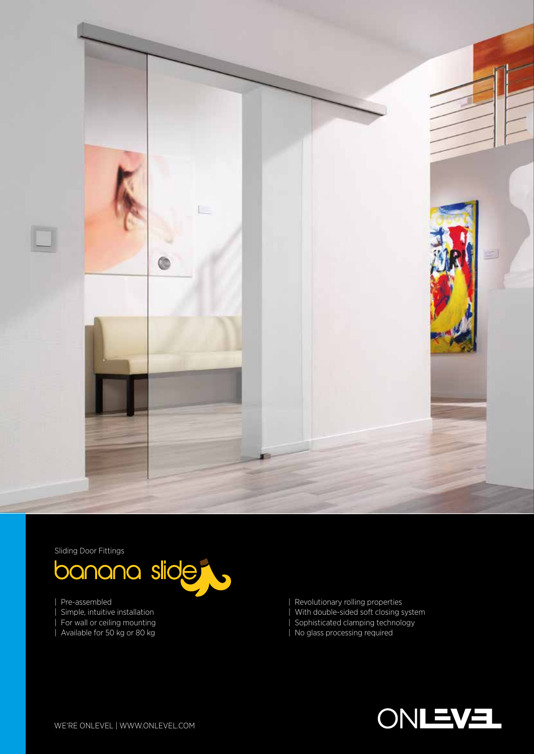



- | Pre-assembled Simple, intuitive installation For wall or ceiling mounting
- Available for 50 kg or 80 kg

Revolutionary rolling properties With double-sided soft closing system Sophisticated clamping technology No glass processing required

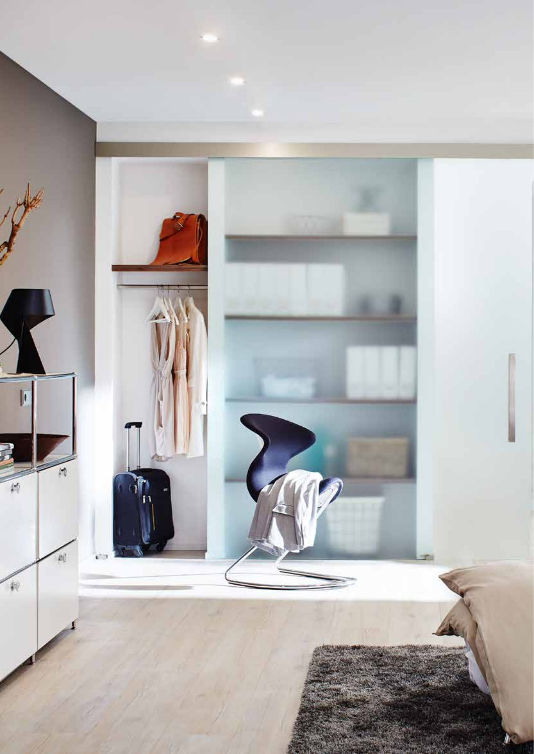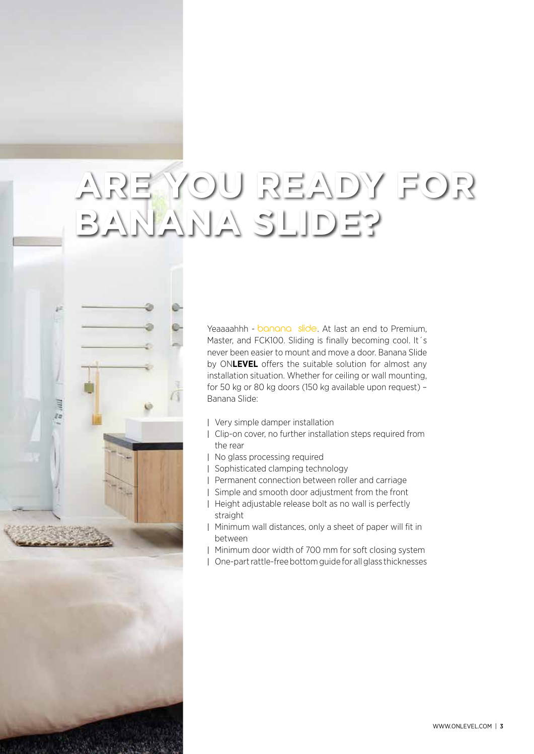## **ARE YOU READY FOR BANANA SLIDE?**

Yeaaaahhh - bonono slide. At last an end to Premium, Master, and FCK100. Sliding is finally becoming cool. It´s never been easier to mount and move a door. Banana Slide by ON**LEVEL** offers the suitable solution for almost any installation situation. Whether for ceiling or wall mounting, for 50 kg or 80 kg doors (150 kg available upon request) – Banana Slide:

- | Very simple damper installation
- | Clip-on cover, no further installation steps required from the rear
- | No glass processing required
- | Sophisticated clamping technology
- | Permanent connection between roller and carriage
- | Simple and smooth door adjustment from the front
- | Height adjustable release bolt as no wall is perfectly straight
- | Minimum wall distances, only a sheet of paper will fit in between
- | Minimum door width of 700 mm for soft closing system
- | One-part rattle-free bottom guide for all glass thicknesses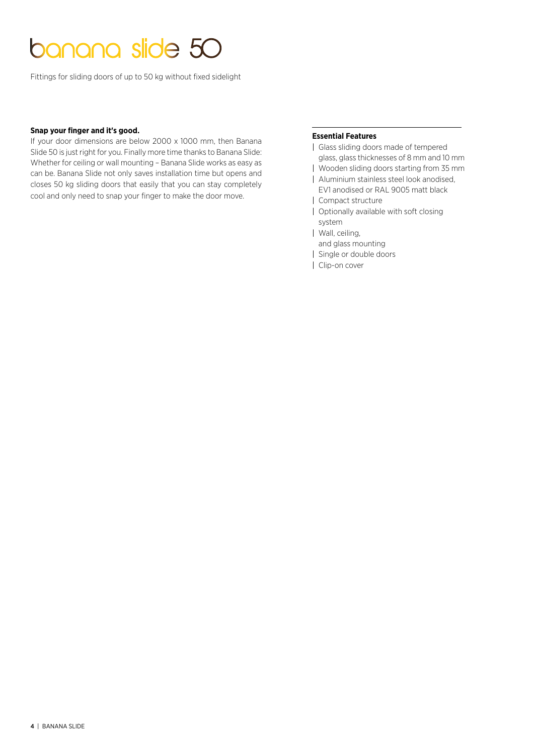## hang slide 50

Fittings for sliding doors of up to 50 kg without fixed sidelight

#### **Snap your finger and it's good.**

If your door dimensions are below 2000 x 1000 mm, then Banana Slide 50 is just right for you. Finally more time thanks to Banana Slide: Whether for ceiling or wall mounting – Banana Slide works as easy as can be. Banana Slide not only saves installation time but opens and closes 50 kg sliding doors that easily that you can stay completely cool and only need to snap your finger to make the door move.

#### **Essential Features**

- | Glass sliding doors made of tempered glass, glass thicknesses of 8 mm and 10 mm
- | Wooden sliding doors starting from 35 mm | Aluminium stainless steel look anodised,
- EV1 anodised or RAL 9005 matt black
- | Compact structure
- | Optionally available with soft closing system
- | Wall, ceiling,
- and glass mounting
- | Single or double doors
- | Clip-on cover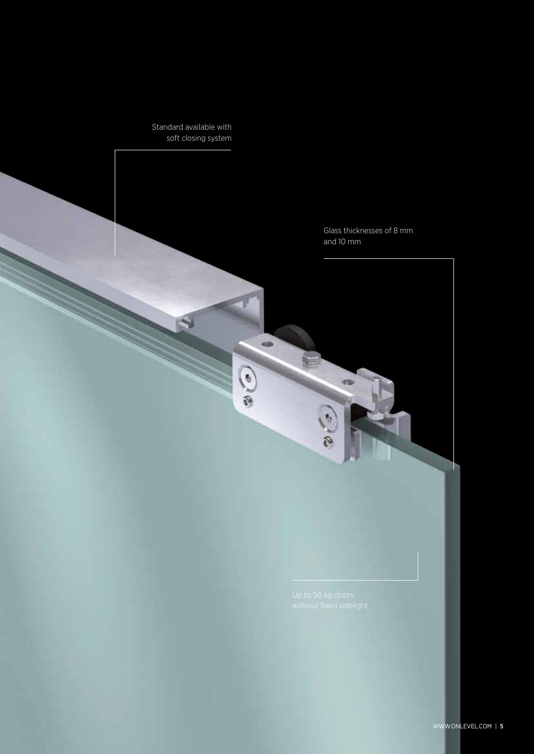Standard available with soft closing system

> Glass thicknesses of 8 mm and 10 mm

> > 4D

œ

 $\mathcal{O}(q)$ 

г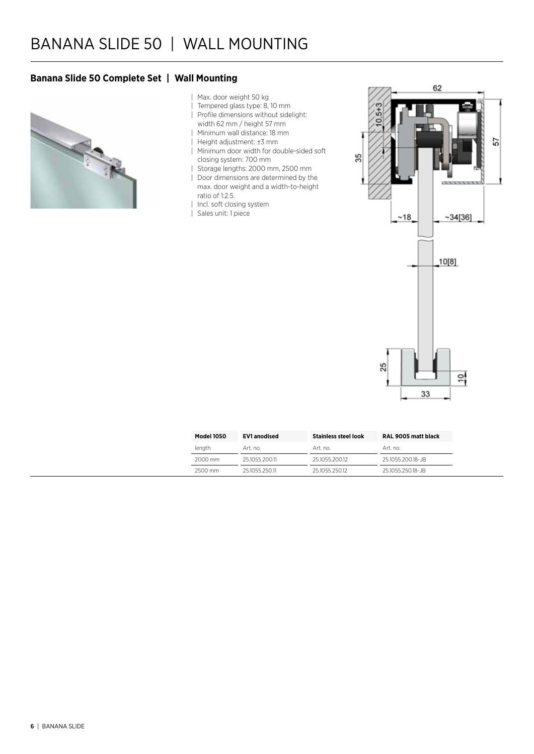#### **Banana Slide 50 Complete Set | Wall Mounting**



- | Max. door weight 50 kg
- Tempered glass type: 8, 10 mm | Profile dimensions without sidelight:
- width 62 mm / height 57 mm
- | Minimum wall distance: 18 mm
- | Height adjustment: ±3 mm
- | Minimum door width for double-sided soft closing system: 700 mm
- | Storage lengths: 2000 mm, 2500 mm | Door dimensions are determined by the max. door weight and a width-to-height
- ratio of 1:2.5.
- | Incl. soft closing system
- | Sales unit: 1 piece



| EV1 anodised   | <b>Stainless steel look</b> | RAL 9005 matt black |
|----------------|-----------------------------|---------------------|
| Art. no.       | Art. no.                    | Art. no.            |
| 25.1055.200.11 | 25.1055.200.12              | 25.1055.200.18-JB   |
| 25.1055.250.11 | 25.1055.250.12              | 25.1055.250.18-JB   |
|                |                             |                     |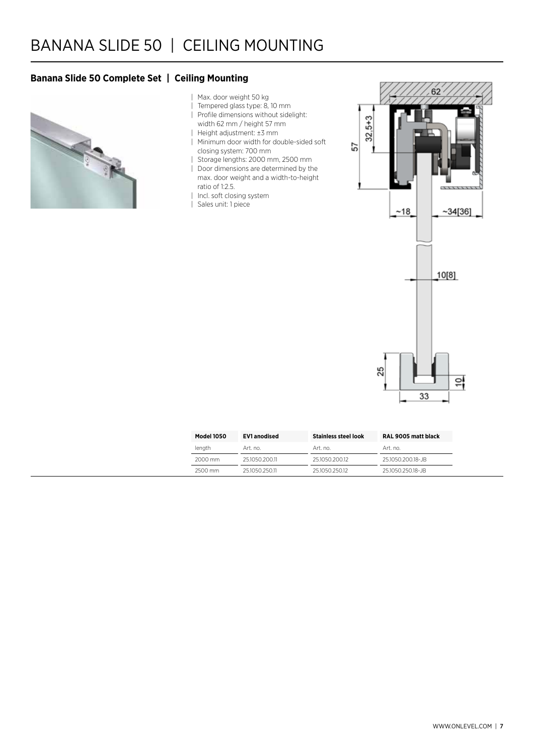#### **Banana Slide 50 Complete Set | Ceiling Mounting**



- | Max. door weight 50 kg
- Tempered glass type: 8, 10 mm
- Profile dimensions without sidelight: width 62 mm / height 57 mm
- | Height adjustment: ±3 mm
- | Minimum door width for double-sided soft closing system: 700 mm
- | Storage lengths: 2000 mm, 2500 mm
- | Door dimensions are determined by the max. door weight and a width-to-height ratio of 1:2.5.
- | Incl. soft closing system | Sales unit: 1 piece

 $5+3$ જીં  $~18$  $~234[36]$  $10[8]$ 25 학 33

57

 $62'$ 

| <b>Model 1050</b> | <b>EV1</b> anodised | <b>Stainless steel look</b> | RAL 9005 matt black |
|-------------------|---------------------|-----------------------------|---------------------|
| length            | Art. no.            | Art. no.                    | Art. no.            |
| 2000 mm           | 25.1050.200.11      | 25.1050.200.12              | 25.1050.200.18-JB   |
| 2500 mm           | 25.1050.250.11      | 25.1050.250.12              | 25.1050.250.18-JB   |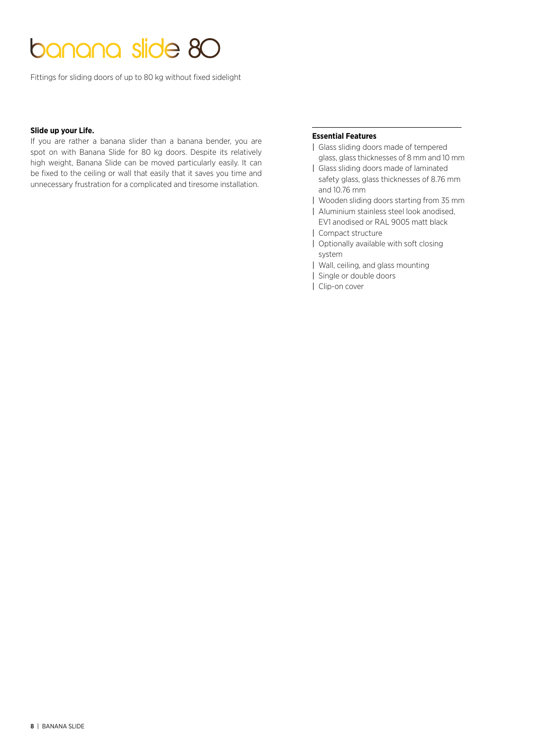## anana slide 8C

Fittings for sliding doors of up to 80 kg without fixed sidelight

#### **Slide up your Life.**

If you are rather a banana slider than a banana bender, you are spot on with Banana Slide for 80 kg doors. Despite its relatively high weight, Banana Slide can be moved particularly easily. It can be fixed to the ceiling or wall that easily that it saves you time and unnecessary frustration for a complicated and tiresome installation.

#### **Essential Features**

- | Glass sliding doors made of tempered glass, glass thicknesses of 8 mm and 10 mm
- | Glass sliding doors made of laminated safety glass, glass thicknesses of 8.76 mm and 10.76 mm
- | Wooden sliding doors starting from 35 mm
- | Aluminium stainless steel look anodised, EV1 anodised or RAL 9005 matt black
- | Compact structure
- | Optionally available with soft closing system
- | Wall, ceiling, and glass mounting
- | Single or double doors
- | Clip-on cover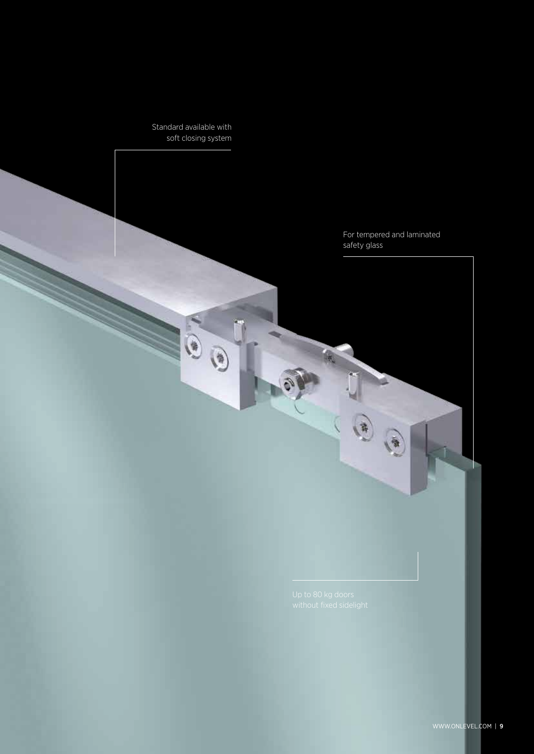Standard available with soft closing system

 $\begin{picture}(20,20) \put(0,0){\line(1,0){155}} \put(15,0){\line(1,0){155}} \put(15,0){\line(1,0){155}} \put(15,0){\line(1,0){155}} \put(15,0){\line(1,0){155}} \put(15,0){\line(1,0){155}} \put(15,0){\line(1,0){155}} \put(15,0){\line(1,0){155}} \put(15,0){\line(1,0){155}} \put(15,0){\line(1,0){155}} \put(15,0){\line(1,0){155}} \$ 

For tempered and laminated safety glass

齋

 $\tilde{\mathcal{R}}$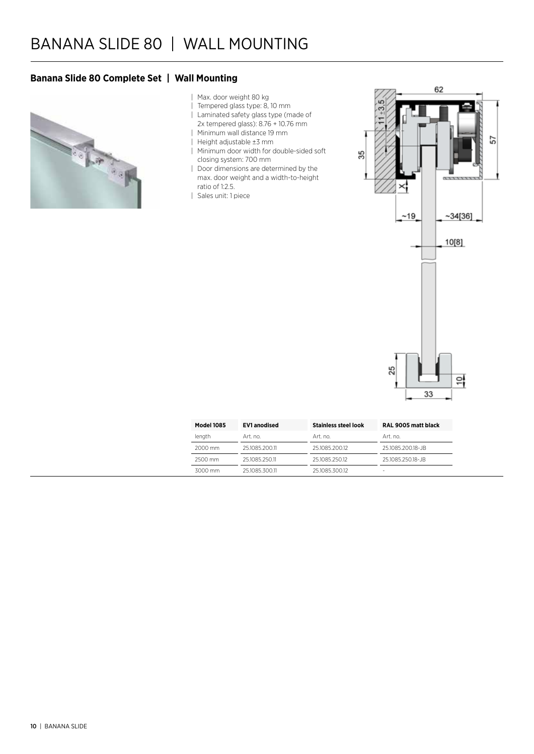#### **Banana Slide 80 Complete Set | Wall Mounting**



- | Max. door weight 80 kg
- Tempered glass type: 8, 10 mm | Laminated safety glass type (made of
- 2x tempered glass): 8.76 + 10.76 mm | Minimum wall distance 19 mm
- Height adjustable ±3 mm
- | Minimum door width for double-sided soft closing system: 700 mm
- | Door dimensions are determined by the max. door weight and a width-to-height ratio of 1:2.5.
- | Sales unit: 1 piece



| <b>Model 1085</b> | <b>EV1</b> anodised | <b>Stainless steel look</b> | RAL 9005 matt black      |
|-------------------|---------------------|-----------------------------|--------------------------|
| length            | Art. no.            | Art. no.                    | Art. no.                 |
| 2000 mm           | 25.1085.200.11      | 25.1085.200.12              | 25.1085.200.18-JB        |
| 2500 mm           | 25.1085.250.11      | 25108525012                 | 25.1085.250.18-JB        |
| 3000 mm           | 25.1085.300.11      | 25.1085.300.12              | $\overline{\phantom{a}}$ |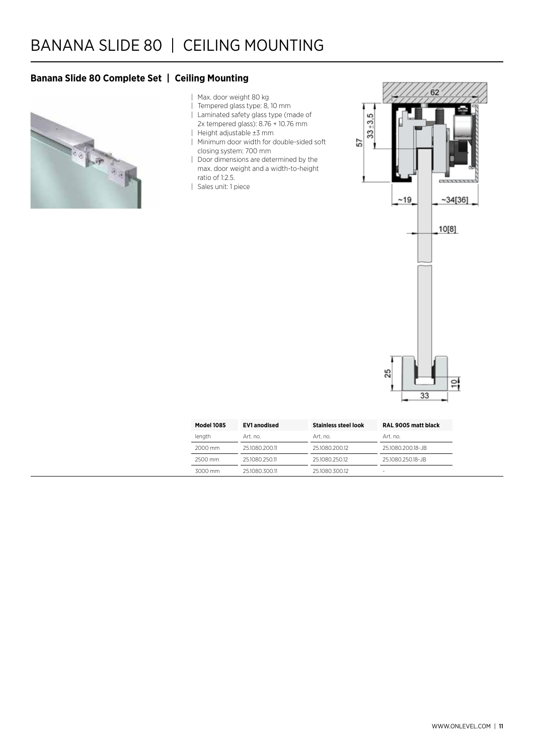#### **Banana Slide 80 Complete Set | Ceiling Mounting**



- | Max. door weight 80 kg
- Tempered glass type: 8, 10 mm
- Laminated safety glass type (made of 2x tempered glass): 8.76 + 10.76 mm
- | Height adjustable ±3 mm
- | Minimum door width for double-sided soft closing system: 700 mm
- | Door dimensions are determined by the max. door weight and a width-to-height ratio of 1:2.5.
- | Sales unit: 1 piece



57

| <b>Model 1085</b> | <b>EV1</b> anodised | <b>Stainless steel look</b> | RAL 9005 matt black |
|-------------------|---------------------|-----------------------------|---------------------|
| length            | Art. no.            | Art. no.                    | Art. no.            |
| 2000 mm           | 25.1080.200.11      | 25.1080.200.12              | 25.1080.200.18-JB   |
| 2500 mm           | 25.1080.250.11      | 25.1080.250.12              | 25.1080.250.18-JB   |
| 3000 mm           | 25 1080 300 11      | 25.1080.300.12              | -                   |
|                   |                     |                             |                     |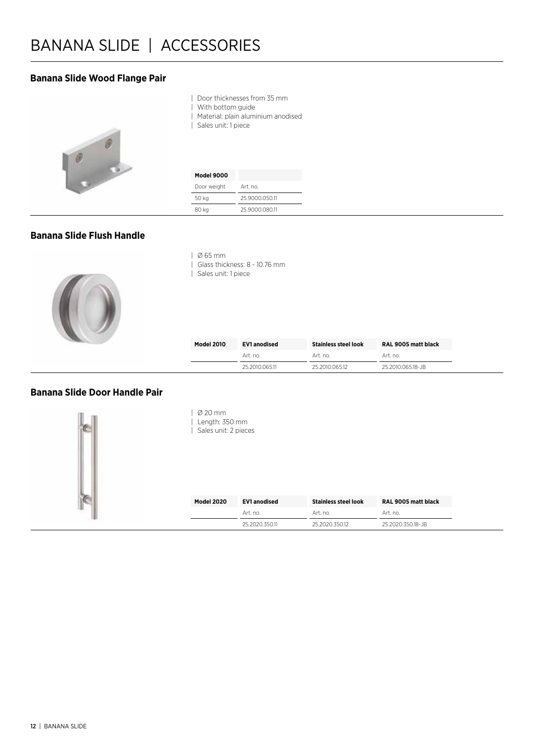### BANANA SLIDE | ACCESSORIES

#### **Banana Slide Wood Flange Pair**

- | Door thicknesses from 35 mm
- | With bottom guide
- Material: plain aluminium anodised
- | Sales unit: 1 piece

| Ø 65 mm

| Sales unit: 1 piece

| Glass thickness: 8 - 10.76 mm



| Model 9000           |                |
|----------------------|----------------|
| Door weight Art. no. |                |
| 50 kg                | 25.9000.050.11 |
| 80 kg                | 25.9000.080.11 |

#### **Banana Slide Flush Handle**



| <b>Model 2010</b> | <b>EV1</b> anodised | <b>Stainless steel look</b> | RAL 9005 matt black |
|-------------------|---------------------|-----------------------------|---------------------|
|                   | Art. no.            | Art. no.                    | Art. no.            |
|                   | 25 2010 065 11      | 25 2010 06512               | 25.2010.065.18-JB   |

#### **Banana Slide Door Handle Pair**

| ĭ<br>ł |  |
|--------|--|
|        |  |
| č      |  |

| Ø 20 mm | Length: 350 mm | Sales unit: 2 pieces

| Model 2020 | <b>EV1</b> anodised | <b>Stainless steel look</b> | RAL 9005 matt black |
|------------|---------------------|-----------------------------|---------------------|
|            | Art. no.            | Art. no.                    | Art. no.            |
|            | 25 2020 35011       | 25 2020 350 12              | 25.2020.350.18-JB   |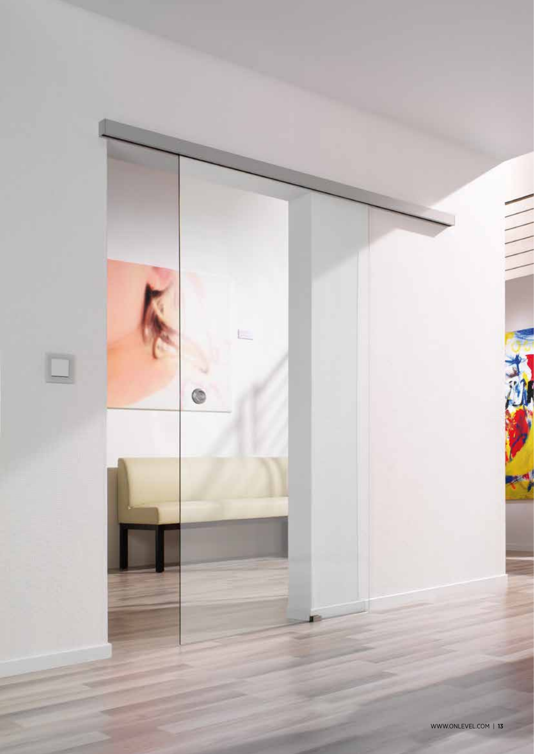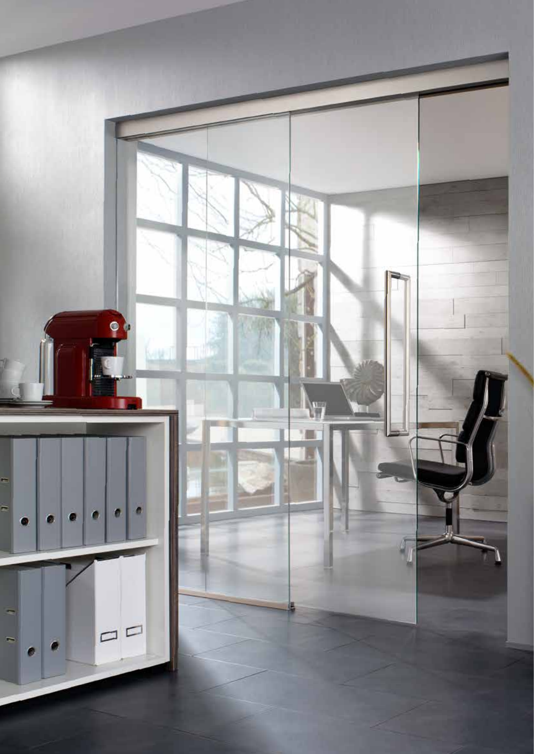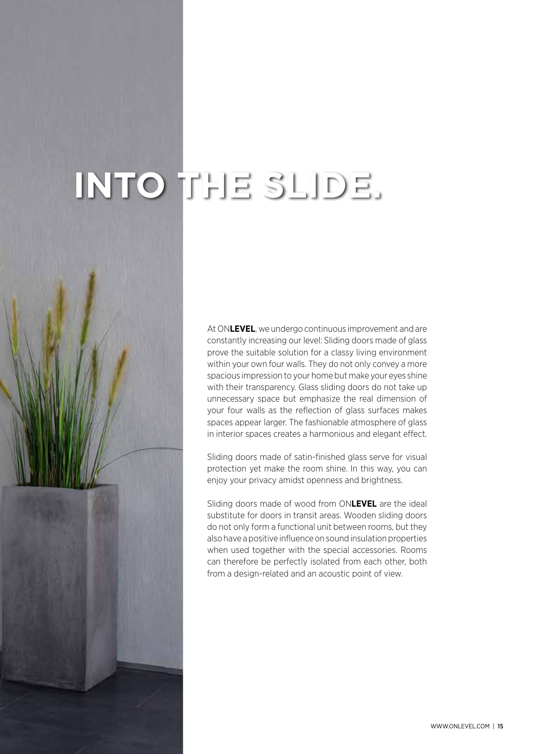# **INTO THE SLIDE.**

At ON**LEVEL**, we undergo continuous improvement and are constantly increasing our level: Sliding doors made of glass prove the suitable solution for a classy living environment within your own four walls. They do not only convey a more spacious impression to your home but make your eyes shine with their transparency. Glass sliding doors do not take up unnecessary space but emphasize the real dimension of your four walls as the reflection of glass surfaces makes spaces appear larger. The fashionable atmosphere of glass in interior spaces creates a harmonious and elegant effect.

Sliding doors made of satin-finished glass serve for visual protection yet make the room shine. In this way, you can enjoy your privacy amidst openness and brightness.

Sliding doors made of wood from ON**LEVEL** are the ideal substitute for doors in transit areas. Wooden sliding doors do not only form a functional unit between rooms, but they also have a positive influence on sound insulation properties when used together with the special accessories. Rooms can therefore be perfectly isolated from each other, both from a design-related and an acoustic point of view.